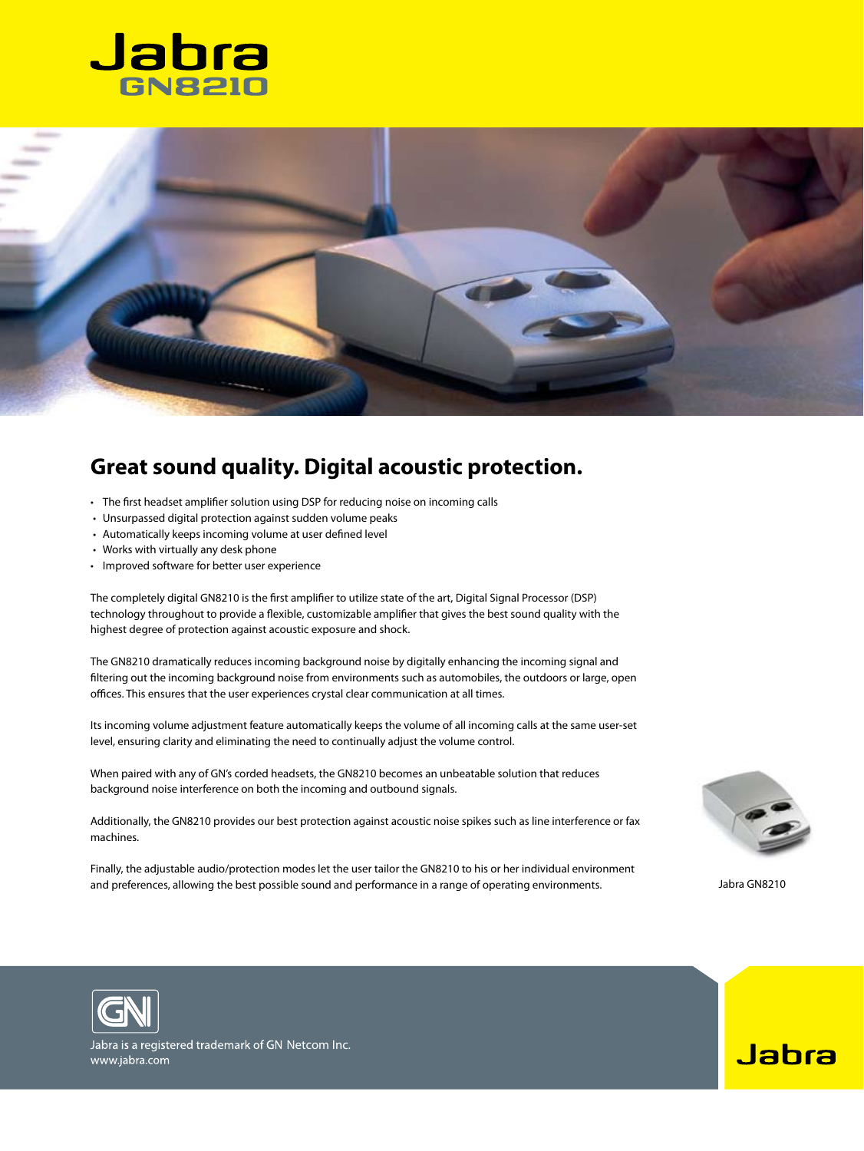



## **Great sound quality. Digital acoustic protection.**

- The first headset amplifier solution using DSP for reducing noise on incoming calls
- Unsurpassed digital protection against sudden volume peaks
- Automatically keeps incoming volume at user defined level
- Works with virtually any desk phone
- • Improved software for better user experience

The completely digital GN8210 is the first amplifier to utilize state of the art, Digital Signal Processor (DSP) technology throughout to provide a flexible, customizable amplifier that gives the best sound quality with the highest degree of protection against acoustic exposure and shock.

The GN8210 dramatically reduces incoming background noise by digitally enhancing the incoming signal and filtering out the incoming background noise from environments such as automobiles, the outdoors or large, open offices. This ensures that the user experiences crystal clear communication at all times.

Its incoming volume adjustment feature automatically keeps the volume of all incoming calls at the same user-set level, ensuring clarity and eliminating the need to continually adjust the volume control.

When paired with any of GN's corded headsets, the GN8210 becomes an unbeatable solution that reduces background noise interference on both the incoming and outbound signals.

Additionally, the GN8210 provides our best protection against acoustic noise spikes such as line interference or fax machines.

Finally, the adjustable audio/protection modes let the user tailor the GN8210 to his or her individual environment and preferences, allowing the best possible sound and performance in a range of operating environments. Jabra GN8210



Jabra



Jabra is a registered trademark of GN Netcom Inc. www.jabra.com